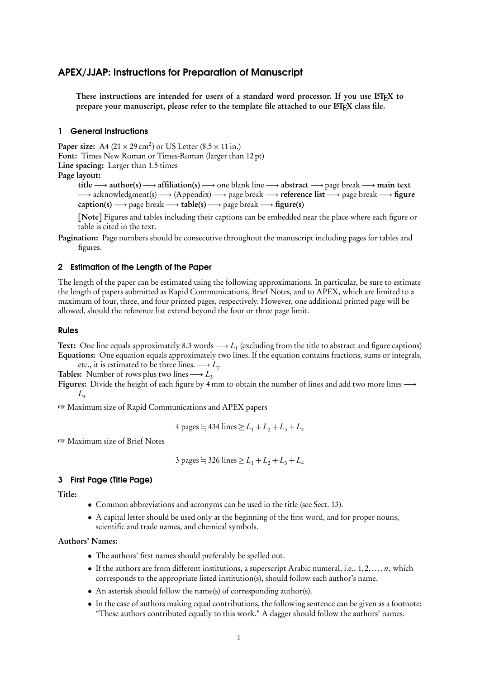## APEX/JJAP: Instructions for Preparation of Manuscript

These instructions are intended for users of a standard word processor. If you use LATEX to prepare your manuscript, please refer to the template file attached to our ETFX class file.

#### 1 General Instructions

Paper size: A4  $(21 \times 29 \text{ cm}^2)$  or US Letter  $(8.5 \times 11 \text{ in.})$ Font: Times New Roman or Times-Roman (larger than 12 pt) Line spacing: Larger than 1.5 times Page layout:

title *−→* author(s) *−→* affiliation(s) *−→* one blank line *−→* abstract *−→* page break *−→* main text *−→* acknowledgment(s) *−→* (Appendix) *−→* page break *−→* reference list *−→* page break *−→* figure caption(s) *−→* page break *−→* table(s) *−→* page break *−→* figure(s)

[Note] Figures and tables including their captions can be embedded near the place where each figure or table is cited in the text.

Pagination: Page numbers should be consecutive throughout the manuscript including pages for tables and figures.

### 2 Estimation of the Length of the Paper

The length of the paper can be estimated using the following approximations. In particular, be sure to estimate the length of papers submitted as Rapid Communications, Brief Notes, and to APEX, which are limited to a maximum of four, three, and four printed pages, respectively. However, one additional printed page will be allowed, should the reference list extend beyond the four or three page limit.

### Rules

Text: One line equals approximately 8.3 words *−→ L*<sup>1</sup> (excluding from the title to abstract and figure captions) Equations: One equation equals approximately two lines. If the equation contains fractions, sums or integrals,

etc., it is estimated to be three lines.  $\longrightarrow$  *L*<sub>2</sub> Tables: Number of rows plus two lines  $\longrightarrow$  *L*<sub>3</sub>

Figures: Divide the height of each figure by 4 mm to obtain the number of lines and add two more lines *−→*  $L<sub>4</sub>$ 

☞ Maximum size of Rapid Communications and APEX papers

4 pages = 434 lines 
$$
\ge L_1 + L_2 + L_3 + L_4
$$

☞ Maximum size of Brief Notes

3 pages = 326 lines 
$$
\ge L_1 + L_2 + L_3 + L_4
$$

#### 3 First Page (Title Page)

Title:

- *•* Common abbreviations and acronyms can be used in the title (see Sect. 13).
- A capital letter should be used only at the beginning of the first word, and for proper nouns, scientific and trade names, and chemical symbols.

### Authors' Names:

- *•* The authors' first names should preferably be spelled out.
- If the authors are from different institutions, a superscript Arabic numeral, i.e., 1,2,..., *n*, which corresponds to the appropriate listed institution(s), should follow each author's name.
- An asterisk should follow the name(s) of corresponding author(s).
- In the case of authors making equal contributions, the following sentence can be given as a footnote: "These authors contributed equally to this work." A dagger should follow the authors' names.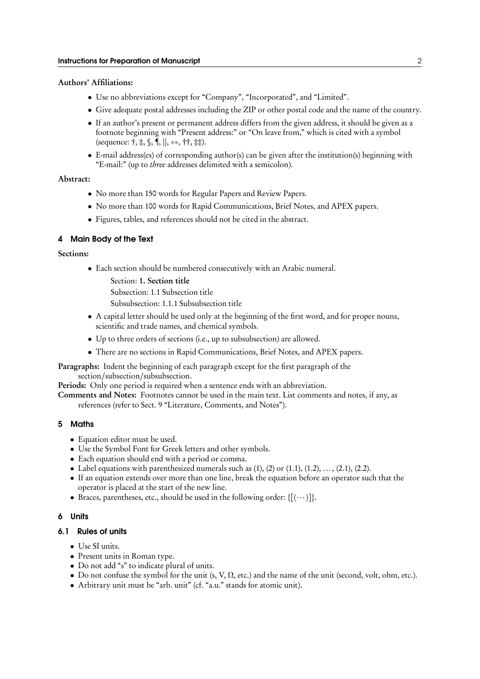#### Authors' Affiliations:

- Use no abbreviations except for "Company", "Incorporated", and "Limited".
- *•* Give adequate postal addresses including the ZIP or other postal code and the name of the country.
- If an author's present or permanent address differs from the given address, it should be given as a footnote beginning with "Present address:" or "On leave from," which is cited with a symbol (sequence: †, ‡, §, ¶, *∥*, *∗∗*, ††, ‡‡).
- *•* E-mail address(es) of corresponding author(s) can be given after the institution(s) beginning with "E-mail:" (up to *three* addresses delimited with a semicolon).

### Abstract:

- *•* No more than 150 words for Regular Papers and Review Papers.
- *•* No more than 100 words for Rapid Communications, Brief Notes, and APEX papers.
- *•* Figures, tables, and references should not be cited in the abstract.

### 4 Main Body of the Text

## Sections:

- *•* Each section should be numbered consecutively with an Arabic numeral.
	- Section: 1. Section title
	- Subsection: 1.1 Subsection title
	- Subsubsection: 1.1.1 Subsubsection title
- *•* A capital letter should be used only at the beginning of the first word, and for proper nouns, scientific and trade names, and chemical symbols.
- *•* Up to three orders of sections (i.e., up to subsubsection) are allowed.
- *•* There are no sections in Rapid Communications, Brief Notes, and APEX papers.
- Paragraphs: Indent the beginning of each paragraph except for the first paragraph of the section/subsection/subsubsection.

Periods: Only one period is required when a sentence ends with an abbreviation.

Comments and Notes: Footnotes cannot be used in the main text. List comments and notes, if any, as references (refer to Sect. 9 "Literature, Comments, and Notes").

### 5 Maths

- *•* Equation editor must be used.
- *•* Use the Symbol Font for Greek letters and other symbols.
- *•* Each equation should end with a period or comma.
- Label equations with parenthesized numerals such as  $(1)$ ,  $(2)$  or  $(1.1)$ ,  $(1.2)$ , ...,  $(2.1)$ ,  $(2.2)$ .
- *•* If an equation extends over more than one line, break the equation before an operator such that the operator is placed at the start of the new line.
- Braces, parentheses, etc., should be used in the following order:  $\{[(\cdots)]\}$ .

## 6 Units

### 6.1 Rules of units

- *•* Use SI units.
- *•* Present units in Roman type.
- *•* Do not add "s" to indicate plural of units.
- *•* Do not confuse the symbol for the unit (s, V, *Ω*, etc.) and the name of the unit (second, volt, ohm, etc.).
- *•* Arbitrary unit must be "arb. unit" (cf. "a.u." stands for atomic unit).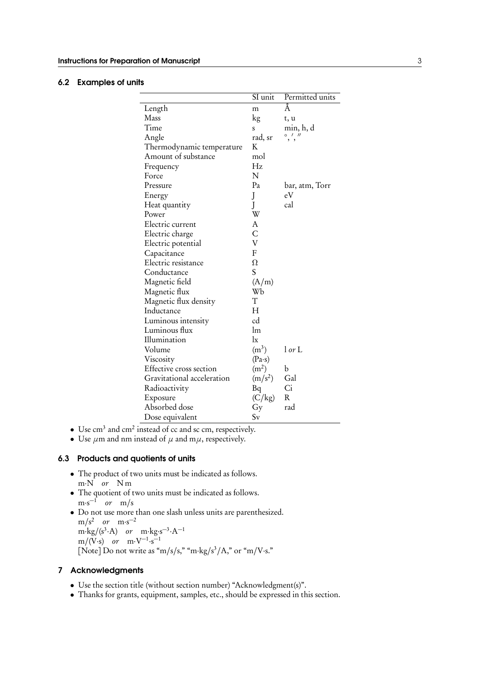### 6.2 Examples of units

|                            | SI unit           | Permitted units   |
|----------------------------|-------------------|-------------------|
| Length                     | m                 | Å                 |
| Mass                       | kg                | t, u              |
| Time                       | S                 | min, h, d         |
| Angle                      | rad, sr           | $^{\prime\prime}$ |
| Thermodynamic temperature  | K                 |                   |
| Amount of substance        | mol               |                   |
| Frequency                  | Hz                |                   |
| Force                      | N                 |                   |
| Pressure                   | Pa                | bar, atm, Torr    |
| Energy                     | J                 | eV                |
| Heat quantity              | J                 | cal               |
| Power                      | W                 |                   |
| Electric current           | A                 |                   |
| Electric charge            | C                 |                   |
| Electric potential         | V                 |                   |
| Capacitance                | F                 |                   |
| Electric resistance        | $\Omega$          |                   |
| Conductance                | S                 |                   |
| Magnetic field             | (A/m)             |                   |
| Magnetic flux              | Wb                |                   |
| Magnetic flux density      | T                 |                   |
| Inductance                 | H                 |                   |
| Luminous intensity         | cd                |                   |
| Luminous flux              | lm                |                   |
| Illumination               | $\lg$             |                   |
| Volume                     | $(m^3)$           | l or L            |
| Viscosity                  | $(Pa-s)$          |                   |
| Effective cross section    | (m <sup>2</sup> ) | b                 |
| Gravitational acceleration | $(m/s^2)$         | Gal               |
| Radioactivity              | Bq                | Ci                |
| Exposure                   | (C/kg)            | R                 |
| Absorbed dose              | Gy                | rad               |
| Dose equivalent            | $S_{V}$           |                   |

- Use cm<sup>3</sup> and cm<sup>2</sup> instead of cc and sc cm, respectively.
- *•* Use *µ*m and nm instead of *µ* and m*µ*, respectively.

## 6.3 Products and quotients of units

- *•* The product of two units must be indicated as follows. m*·*N *or* N m
- *•* The quotient of two units must be indicated as follows. m*·*s *−*1 *or* m/s
- *•* Do not use more than one slash unless units are parenthesized.  $m/s^2$  *or*  $m \cdot s^{-2}$  $m \cdot \frac{kg}{s^3 \cdot A}$  *or*  $m \cdot \frac{kg \cdot s^{-3} \cdot A^{-1}}{s^2}$ m/(V*·*s) *or* m*·*V *−*1 *·*s *−*1 [Note] Do not write as "m/s/s," "m*·*kg/s 3 /A," or "m/V*·*s."

## 7 Acknowledgments

- *•* Use the section title (without section number) "Acknowledgment(s)".
- *•* Thanks for grants, equipment, samples, etc., should be expressed in this section.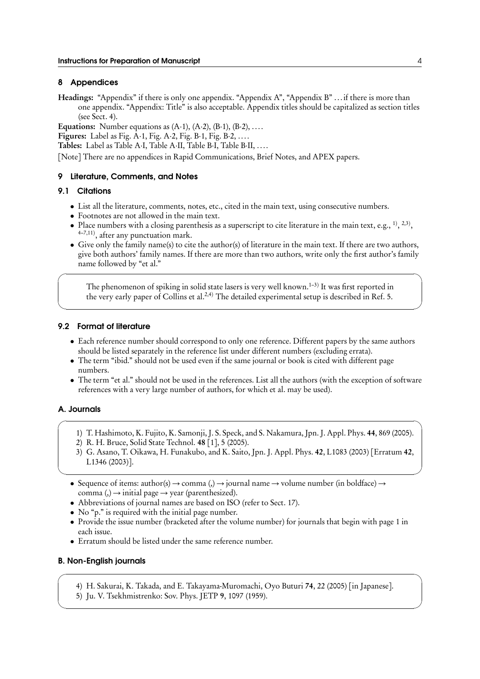#### 8 Appendices

Headings: "Appendix" if there is only one appendix. "Appendix A", "Appendix B" ... if there is more than one appendix. "Appendix: Title" is also acceptable. Appendix titles should be capitalized as section titles (see Sect. 4).

Equations: Number equations as (A*·*1), (A*·*2), (B*·*1), (B*·*2), ....

Figures: Label as Fig. A*·*1, Fig. A*·*2, Fig. B*·*1, Fig. B*·*2, ....

Tables: Label as Table A*·*I, Table A*·*II, Table B*·*I, Table B*·*II, ....

[Note] There are no appendices in Rapid Communications, Brief Notes, and APEX papers.

#### 9 Literature, Comments, and Notes

## 9.1 Citations

 $\sqrt{2}$ 

- List all the literature, comments, notes, etc., cited in the main text, using consecutive numbers.
- *•* Footnotes are not allowed in the main text.
- Place numbers with a closing parenthesis as a superscript to cite literature in the main text, e.g.,  $^{1)},$   $^{2,3)}$ , <sup>4-7,11</sup>), after any punctuation mark.
- *•* Give only the family name(s) to cite the author(s) of literature in the main text. If there are two authors, give both authors' family names. If there are more than two authors, write only the first author's family name followed by "et al."

The phenomenon of spiking in solid state lasers is very well known. $^{1-3)}$  It was first reported in the very early paper of Collins et al.<sup>2,4)</sup> The detailed experimental setup is described in Ref. 5.

 $\Box$ 

#### 9.2 Format of literature

- *•* Each reference number should correspond to only one reference. Different papers by the same authors should be listed separately in the reference list under different numbers (excluding errata).
- *•* The term "ibid." should not be used even if the same journal or book is cited with different page numbers.
- The term "et al." should not be used in the references. List all the authors (with the exception of software references with a very large number of authors, for which et al. may be used).

## A. Journals

- $\sqrt{2\pi}$ 1) T. Hashimoto, K. Fujito, K. Samonji, J. S. Speck, and S. Nakamura, Jpn. J. Appl. Phys. 44, 869 (2005).
	- 2) R. H. Bruce, Solid State Technol. 48 [1], 5 (2005).
	- 3) G. Asano, T. Oikawa, H. Funakubo, and K. Saito, Jpn. J. Appl. Phys. 42, L1083 (2003) [Erratum 42, L1346 (2003)].

✒ ✑

- *•* Sequence of items: author(s) *→* comma (,) *→* journal name *→* volume number (in boldface) *→* comma (,) *→* initial page *→* year (parenthesized).
- *•* Abbreviations of journal names are based on ISO (refer to Sect. 17).
- *•* No "p." is required with the initial page number.
- Provide the issue number (bracketed after the volume number) for journals that begin with page 1 in each issue.
- *•* Erratum should be listed under the same reference number.

#### B. Non-English journals

4) H. Sakurai, K. Takada, and E. Takayama-Muromachi, Oyo Buturi 74, 22 (2005) [in Japanese].

 $\sqrt{2\pi}$ 

 $\Box$ 

5) Ju. V. Tsekhmistrenko: Sov. Phys. JETP 9, 1097 (1959).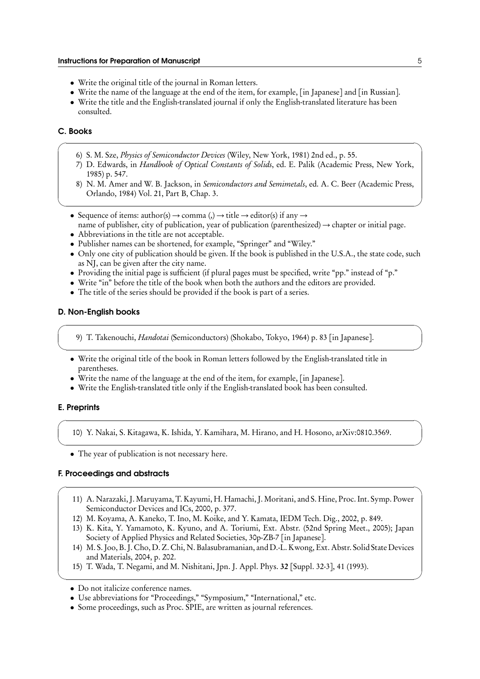- *•* Write the original title of the journal in Roman letters.
- *•* Write the name of the language at the end of the item, for example, [in Japanese] and [in Russian].
- Write the title and the English-translated journal if only the English-translated literature has been consulted.

## C. Books

- 6) S. M. Sze, *Physics of Semiconductor Devices* (Wiley, New York, 1981) 2nd ed., p. 55.
- 7) D. Edwards, in *Handbook of Optical Constants of Solids*, ed. E. Palik (Academic Press, New York, 1985) p. 547.

 $\sqrt{2\pi}$ 

8) N. M. Amer and W. B. Jackson, in *Semiconductors and Semimetals*, ed. A. C. Beer (Academic Press, Orlando, 1984) Vol. 21, Part B, Chap. 3.

✒ ✑

- Sequence of items:  $\text{author}(s) \rightarrow \text{comm} (s) \rightarrow \text{title} \rightarrow \text{editor}(s)$  if any  $\rightarrow$
- name of publisher, city of publication, year of publication (parenthesized) *→* chapter or initial page.
- *•* Abbreviations in the title are not acceptable.
- *•* Publisher names can be shortened, for example, "Springer" and "Wiley."
- Only one city of publication should be given. If the book is published in the U.S.A., the state code, such as NJ, can be given after the city name.

 $\sqrt{2\pi}$ 

- *•* Providing the initial page is sufficient (if plural pages must be specified, write "pp." instead of "p."
- Write "in" before the title of the book when both the authors and the editors are provided.
- *•* The title of the series should be provided if the book is part of a series.

#### D. Non-English books

9) T. Takenouchi, *Handotai* (Semiconductors) (Shokabo, Tokyo, 1964) p. 83 [in Japanese].

- ✒ ✑ *•* Write the original title of the book in Roman letters followed by the English-translated title in parentheses.
	- Write the name of the language at the end of the item, for example, [in Japanese].
	- *•* Write the English-translated title only if the English-translated book has been consulted.

### E. Preprints

10) Y. Nakai, S. Kitagawa, K. Ishida, Y. Kamihara, M. Hirano, and H. Hosono, arXiv:0810.3569.

 $\sqrt{2\pi}$ 

✒ ✑

• The year of publication is not necessary here.

## F. Proceedings and abstracts

11) A. Narazaki, J. Maruyama, T. Kayumi, H. Hamachi, J. Moritani, and S. Hine, Proc. Int. Symp. Power Semiconductor Devices and ICs, 2000, p. 377.

 $\sqrt{2\pi}$ 

- 12) M. Koyama, A. Kaneko, T. Ino, M. Koike, and Y. Kamata, IEDM Tech. Dig., 2002, p. 849.
- 13) K. Kita, Y. Yamamoto, K. Kyuno, and A. Toriumi, Ext. Abstr. (52nd Spring Meet., 2005); Japan Society of Applied Physics and Related Societies, 30p-ZB-7 [in Japanese].
- 14) M. S. Joo, B. J. Cho, D. Z. Chi, N. Balasubramanian, and D.-L. Kwong, Ext. Abstr. Solid State Devices and Materials, 2004, p. 202.

✒ ✑

15) T. Wada, T. Negami, and M. Nishitani, Jpn. J. Appl. Phys. 32 [Suppl. 32-3], 41 (1993).

- Use abbreviations for "Proceedings," "Symposium," "International," etc.
- Some proceedings, such as Proc. SPIE, are written as journal references.

*<sup>•</sup>* Do not italicize conference names.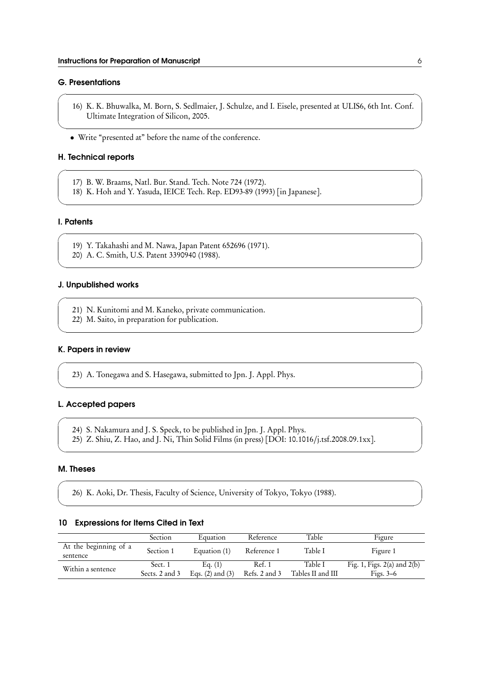### G. Presentations

16) K. K. Bhuwalka, M. Born, S. Sedlmaier, J. Schulze, and I. Eisele, presented at ULIS6, 6th Int. Conf. Ultimate Integration of Silicon, 2005.

 $\sqrt{2\pi}$ 

 $\Box$ 

 $\sqrt{2\pi}$ 

✒ ✑

 $\sqrt{2\pi}$ 

✒ ✑

 $\sqrt{2\pi}$ 

✒ ✑

 $\sqrt{2\pi}$ 

✒ ✑

 $\sqrt{2\pi}$ 

✒ ✑

 $\sqrt{2\pi}$ 

✒ ✑

*•* Write "presented at" before the name of the conference.

### H. Technical reports

- 17) B. W. Braams, Natl. Bur. Stand. Tech. Note 724 (1972).
- 18) K. Hoh and Y. Yasuda, IEICE Tech. Rep. ED93-89 (1993) [in Japanese].

### I. Patents

- 19) Y. Takahashi and M. Nawa, Japan Patent 652696 (1971).
- 20) A. C. Smith, U.S. Patent 3390940 (1988).

### J. Unpublished works

- 21) N. Kunitomi and M. Kaneko, private communication.
- 22) M. Saito, in preparation for publication.

## K. Papers in review

23) A. Tonegawa and S. Hasegawa, submitted to Jpn. J. Appl. Phys.

## L. Accepted papers

- 24) S. Nakamura and J. S. Speck, to be published in Jpn. J. Appl. Phys.
- 25) Z. Shiu, Z. Hao, and J. Ni, Thin Solid Films (in press) [DOI: 10.1016/j.tsf.2008.09.1xx].

#### M. Theses

26) K. Aoki, Dr. Thesis, Faculty of Science, University of Tokyo, Tokyo (1988).

#### 10 Expressions for Items Cited in Text

|                                   | Section                   | Equation                        | Reference               | Table                        | Figure                                         |
|-----------------------------------|---------------------------|---------------------------------|-------------------------|------------------------------|------------------------------------------------|
| At the beginning of a<br>sentence | Section 1                 | Equation (1)                    | Reference 1             | Table I                      | Figure 1                                       |
| Within a sentence                 | Sect. 1<br>Sects. 2 and 3 | Eq. (1)<br>Eqs. $(2)$ and $(3)$ | Ref. 1<br>Refs. 2 and 3 | Table I<br>Tables II and III | Fig. 1, Figs. $2(a)$ and $2(b)$<br>Figs. $3-6$ |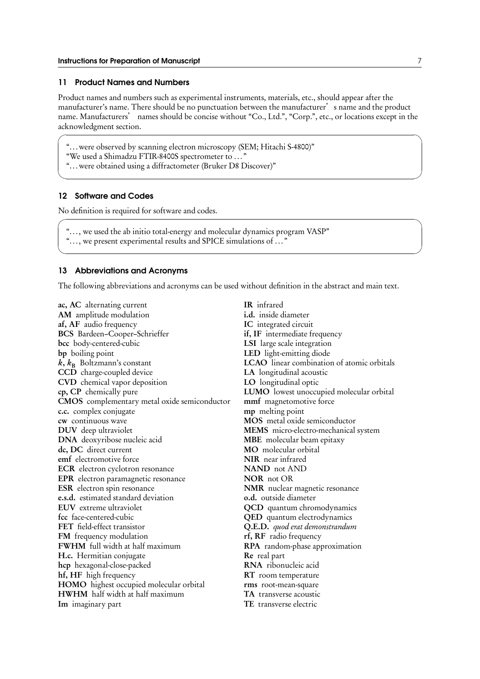#### 11 Product Names and Numbers

Product names and numbers such as experimental instruments, materials, etc., should appear after the manufacturer's name. There should be no punctuation between the manufacturer's name and the product name. Manufacturers' names should be concise without "Co., Ltd.", "Corp.", etc., or locations except in the acknowledgment section.

 $\sqrt{2\pi}$ 

 $\Box$ 

 $\sqrt{2\pi}$ 

✒ ✑

"...were observed by scanning electron microscopy (SEM; Hitachi S-4800)"

"We used a Shimadzu FTIR-8400S spectrometer to ... "

"...were obtained using a diffractometer (Bruker D8 Discover)"

#### 12 Software and Codes

No definition is required for software and codes.

"..., we used the ab initio total-energy and molecular dynamics program VASP"

"..., we present experimental results and SPICE simulations of ... "

### 13 Abbreviations and Acronyms

The following abbreviations and acronyms can be used without definition in the abstract and main text.

ac, AC alternating current AM amplitude modulation af, AF audio frequency BCS Bardeen–Cooper–Schrieffer bcc body-centered-cubic bp boiling point  $k, k_B$  Boltzmann's constant CCD charge-coupled device CVD chemical vapor deposition cp, CP chemically pure CMOS complementary metal oxide semiconductor c.c. complex conjugate cw continuous wave DUV deep ultraviolet DNA deoxyribose nucleic acid dc, DC direct current emf electromotive force ECR electron cyclotron resonance EPR electron paramagnetic resonance ESR electron spin resonance e.s.d. estimated standard deviation EUV extreme ultraviolet fcc face-centered-cubic FET field-effect transistor FM frequency modulation FWHM full width at half maximum H.c. Hermitian conjugate hcp hexagonal-close-packed hf, HF high frequency HOMO highest occupied molecular orbital HWHM half width at half maximum Im imaginary part

IR infrared i.d. inside diameter IC integrated circuit if, IF intermediate frequency LSI large scale integration LED light-emitting diode LCAO linear combination of atomic orbitals LA longitudinal acoustic LO longitudinal optic LUMO lowest unoccupied molecular orbital mmf magnetomotive force mp melting point MOS metal oxide semiconductor MEMS micro-electro-mechanical system MBE molecular beam epitaxy MO molecular orbital NIR near infrared NAND not AND NOR not OR NMR nuclear magnetic resonance o.d. outside diameter QCD quantum chromodynamics QED quantum electrodynamics Q.E.D. *quod erat demonstrandum* rf, RF radio frequency RPA random-phase approximation Re real part RNA ribonucleic acid RT room temperature rms root-mean-square TA transverse acoustic TE transverse electric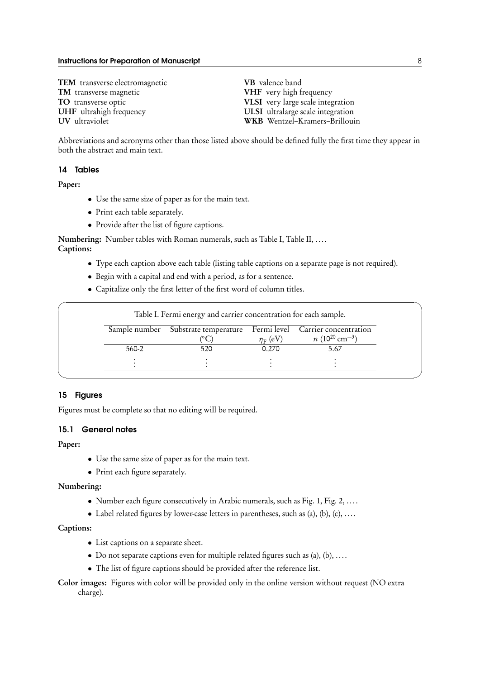TEM transverse electromagnetic TM transverse magnetic TO transverse optic UHF ultrahigh frequency UV ultraviolet

VB valence band VHF very high frequency VLSI very large scale integration ULSI ultralarge scale integration WKB Wentzel–Kramers–Brillouin

Abbreviations and acronyms other than those listed above should be defined fully the first time they appear in both the abstract and main text.

#### 14 Tables

Paper:

- *•* Use the same size of paper as for the main text.
- *•* Print each table separately.
- *•* Provide after the list of figure captions.

Numbering: Number tables with Roman numerals, such as Table I, Table II, .... Captions:

- *•* Type each caption above each table (listing table captions on a separate page is not required).
- *•* Begin with a capital and end with a period, as for a sentence.
- *•* Capitalize only the first letter of the first word of column titles.

|               | Table I. Fermi energy and carrier concentration for each sample. |               |                                   |
|---------------|------------------------------------------------------------------|---------------|-----------------------------------|
| Sample number | Substrate temperature                                            |               | Fermi level Carrier concentration |
|               |                                                                  | $\eta_F$ (eV) | $n(10^{20}$ cm <sup>-3</sup> )    |
| 560-2         | 520                                                              | 0.270         | 5.67                              |
|               |                                                                  |               |                                   |

### 15 Figures

Figures must be complete so that no editing will be required.

## 15.1 General notes

## Paper:

- *•* Use the same size of paper as for the main text.
- *•* Print each figure separately.

#### Numbering:

- *•* Number each figure consecutively in Arabic numerals, such as Fig. 1, Fig. 2, ....
- *•* Label related figures by lower-case letters in parentheses, such as (a), (b), (c), ....

## Captions:

- *•* List captions on a separate sheet.
- Do not separate captions even for multiple related figures such as (a), (b), ....
- *•* The list of figure captions should be provided after the reference list.
- Color images: Figures with color will be provided only in the online version without request (NO extra charge).